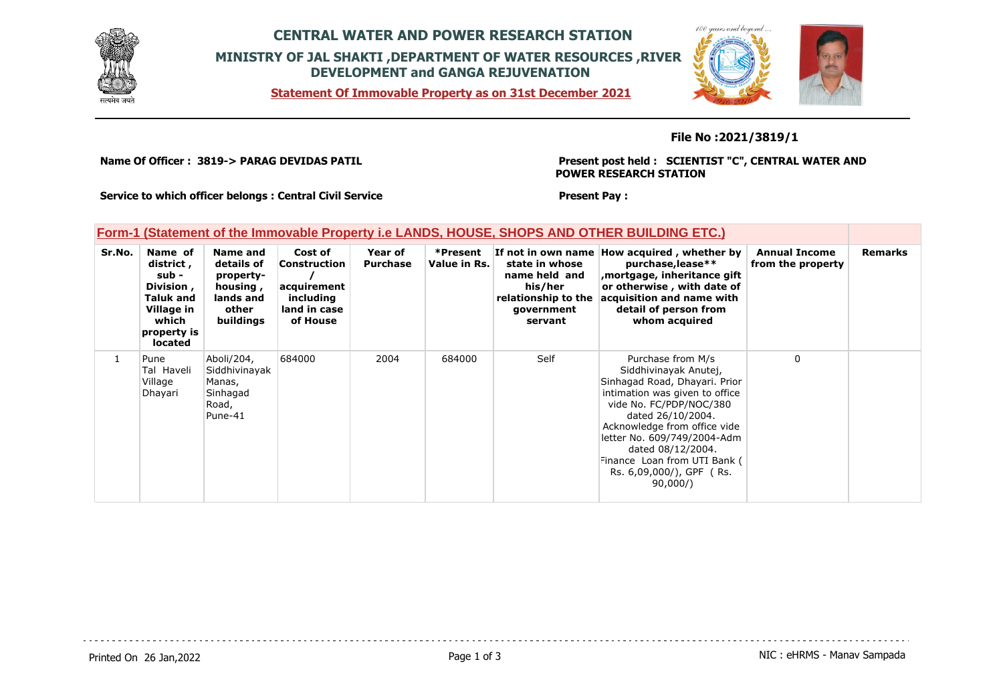

## **CENTRAL WATER AND POWER RESEARCH STATION MINISTRY OF JAL SHAKTI ,DEPARTMENT OF WATER RESOURCES ,RIVER DEVELOPMENT and GANGA REJUVENATION**

**Statement Of Immovable Property as on 31st December 2021**



### **File No :2021/3819/1**

**Name Of Officer : 3819-> PARAG DEVIDAS PATIL** 

**Present post held : SCIENTIST "C", CENTRAL WATER AND POWER RESEARCH STATION**

 $100$ 

**Service to which officer belongs : Central Civil Service**

**Present Pay :** 

#### **Form-1 (Statement of the Immovable Property i.e LANDS, HOUSE, SHOPS AND OTHER BUILDING ETC.)**

| Sr.No. | Name of<br>district,<br>sub -<br>Division,<br><b>Taluk and</b><br>Village in<br>which<br>property is<br>located | Name and<br>details of<br>property-<br>housing,<br>lands and<br>other<br>buildings | Cost of<br><b>Construction</b><br>acquirement<br>including<br>land in case<br>of House | Year of<br><b>Purchase</b> | *Present<br>Value in Rs. | state in whose<br>name held and<br>his/her<br>relationship to the<br>government<br>servant | If not in own name How acquired, whether by<br>purchase, lease**<br>mortgage, inheritance gift<br>or otherwise, with date of<br>acquisition and name with<br>detail of person from<br>whom acquired                                                                                                                      | <b>Annual Income</b><br>from the property | <b>Remarks</b> |
|--------|-----------------------------------------------------------------------------------------------------------------|------------------------------------------------------------------------------------|----------------------------------------------------------------------------------------|----------------------------|--------------------------|--------------------------------------------------------------------------------------------|--------------------------------------------------------------------------------------------------------------------------------------------------------------------------------------------------------------------------------------------------------------------------------------------------------------------------|-------------------------------------------|----------------|
|        | Pune<br>Tal Haveli<br>Village<br>Dhayari                                                                        | Aboli/204,<br>Siddhivinayak<br>Manas,<br>Sinhagad<br>Road,<br>Pune-41              | 684000                                                                                 | 2004                       | 684000                   | Self                                                                                       | Purchase from M/s<br>Siddhivinayak Anutej,<br>Sinhagad Road, Dhayari. Prior<br>intimation was given to office<br>vide No. FC/PDP/NOC/380<br>dated 26/10/2004.<br>Acknowledge from office vide<br>letter No. 609/749/2004-Adm<br>dated 08/12/2004.<br>Finance Loan from UTI Bank (<br>Rs. 6,09,000/), GPF (Rs.<br>90,000/ | 0                                         |                |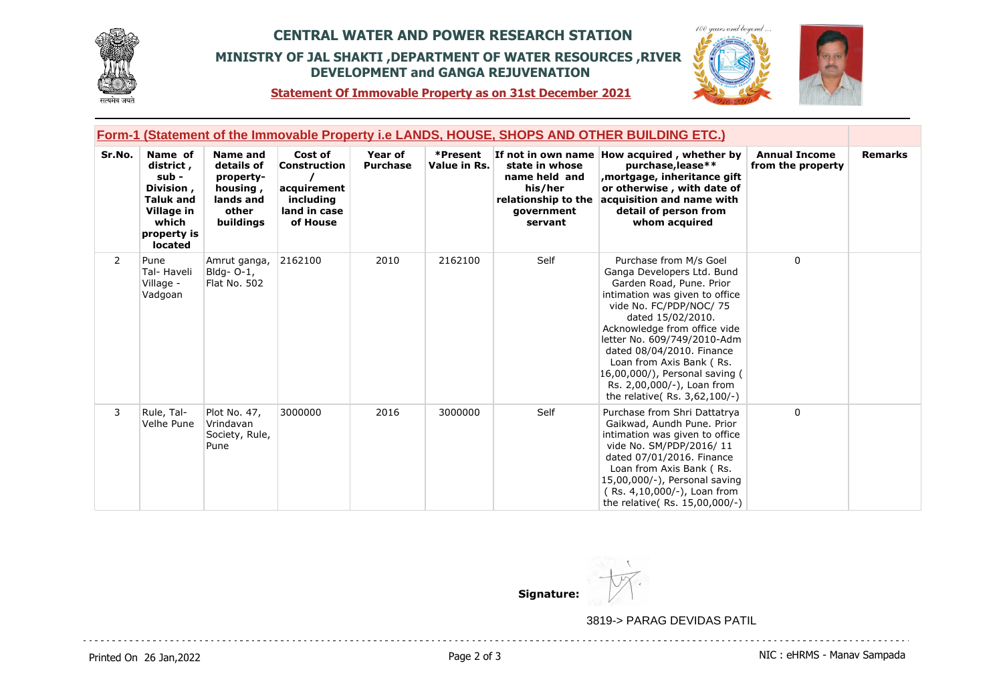

## **CENTRAL WATER AND POWER RESEARCH STATION MINISTRY OF JAL SHAKTI ,DEPARTMENT OF WATER RESOURCES ,RIVER DEVELOPMENT and GANGA REJUVENATION**



**Statement Of Immovable Property as on 31st December 2021**

|        |                                                                                                                 |                                                                                    |                                                                                        |                            |                          |                                                                                            | Form-1 (Statement of the Immovable Property i.e LANDS, HOUSE, SHOPS AND OTHER BUILDING ETC.)                                                                                                                                                                                                                                                                                               |                                           |                |
|--------|-----------------------------------------------------------------------------------------------------------------|------------------------------------------------------------------------------------|----------------------------------------------------------------------------------------|----------------------------|--------------------------|--------------------------------------------------------------------------------------------|--------------------------------------------------------------------------------------------------------------------------------------------------------------------------------------------------------------------------------------------------------------------------------------------------------------------------------------------------------------------------------------------|-------------------------------------------|----------------|
| Sr.No. | Name of<br>district,<br>sub -<br>Division,<br><b>Taluk and</b><br>Village in<br>which<br>property is<br>located | Name and<br>details of<br>property-<br>housing,<br>lands and<br>other<br>buildings | Cost of<br><b>Construction</b><br>acquirement<br>including<br>land in case<br>of House | Year of<br><b>Purchase</b> | *Present<br>Value in Rs. | state in whose<br>name held and<br>his/her<br>relationship to the<br>government<br>servant | If not in own name How acquired, whether by<br>purchase, lease**<br>mortgage, inheritance gift,<br>or otherwise, with date of<br>acquisition and name with<br>detail of person from<br>whom acquired                                                                                                                                                                                       | <b>Annual Income</b><br>from the property | <b>Remarks</b> |
| 2      | Pune<br>Tal- Haveli<br>Village -<br>Vadgoan                                                                     | Amrut ganga,<br>Bldg- O-1,<br><b>Flat No. 502</b>                                  | 2162100                                                                                | 2010                       | 2162100                  | Self                                                                                       | Purchase from M/s Goel<br>Ganga Developers Ltd. Bund<br>Garden Road, Pune. Prior<br>intimation was given to office<br>vide No. FC/PDP/NOC/ 75<br>dated 15/02/2010.<br>Acknowledge from office vide<br>letter No. 609/749/2010-Adm<br>dated 08/04/2010. Finance<br>Loan from Axis Bank (Rs.<br>16,00,000/), Personal saving (<br>Rs. 2,00,000/-), Loan from<br>the relative(Rs. 3,62,100/-) | $\Omega$                                  |                |
| 3      | Rule, Tal-<br>Velhe Pune                                                                                        | Plot No. 47,<br>Vrindavan<br>Society, Rule,<br>Pune                                | 3000000                                                                                | 2016                       | 3000000                  | Self                                                                                       | Purchase from Shri Dattatrya<br>Gaikwad, Aundh Pune. Prior<br>intimation was given to office<br>vide No. SM/PDP/2016/11<br>dated 07/01/2016. Finance<br>Loan from Axis Bank (Rs.<br>15,00,000/-), Personal saving<br>(Rs. 4,10,000/-), Loan from<br>the relative(Rs. 15,00,000/-)                                                                                                          | $\Omega$                                  |                |

**Signature:**

3819-> PARAG DEVIDAS PATIL

. . . . . . . . . . . . . . . . . . . .

. . . . . . . . . . . . .